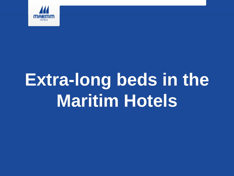

## **Extra-long beds in the Maritim Hotels**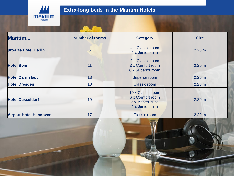

## **Extra-long beds in the Maritim Hotels**

| Maritim                       | <b>Number of rooms</b> | <b>Category</b>                                                               | <b>Size</b>       |
|-------------------------------|------------------------|-------------------------------------------------------------------------------|-------------------|
| proArte Hotel Berlin          | 5                      | 4 x Classic room<br>1 x Junior suite                                          | 2.20 m            |
| <b>Hotel Bonn</b>             | 11                     | 2 x Classic room<br>3 x Comfort room<br>6 x Superior room                     | 2.20 m            |
| <b>Hotel Darmstadt</b>        | 13                     | <b>Superior room</b>                                                          | 2.20 <sub>m</sub> |
| <b>Hotel Dresden</b>          | 10                     | <b>Classic room</b>                                                           | 2.20 <sub>m</sub> |
| <b>Hotel Düsseldorf</b>       | 19                     | 10 x Classic room<br>6 x Comfort room<br>2 x Master suite<br>1 x Junior suite | 2.20 m            |
| <b>Airport Hotel Hannover</b> | 17                     | <b>Classic room</b>                                                           | 2.20 <sub>m</sub> |

**STEP SHOP**